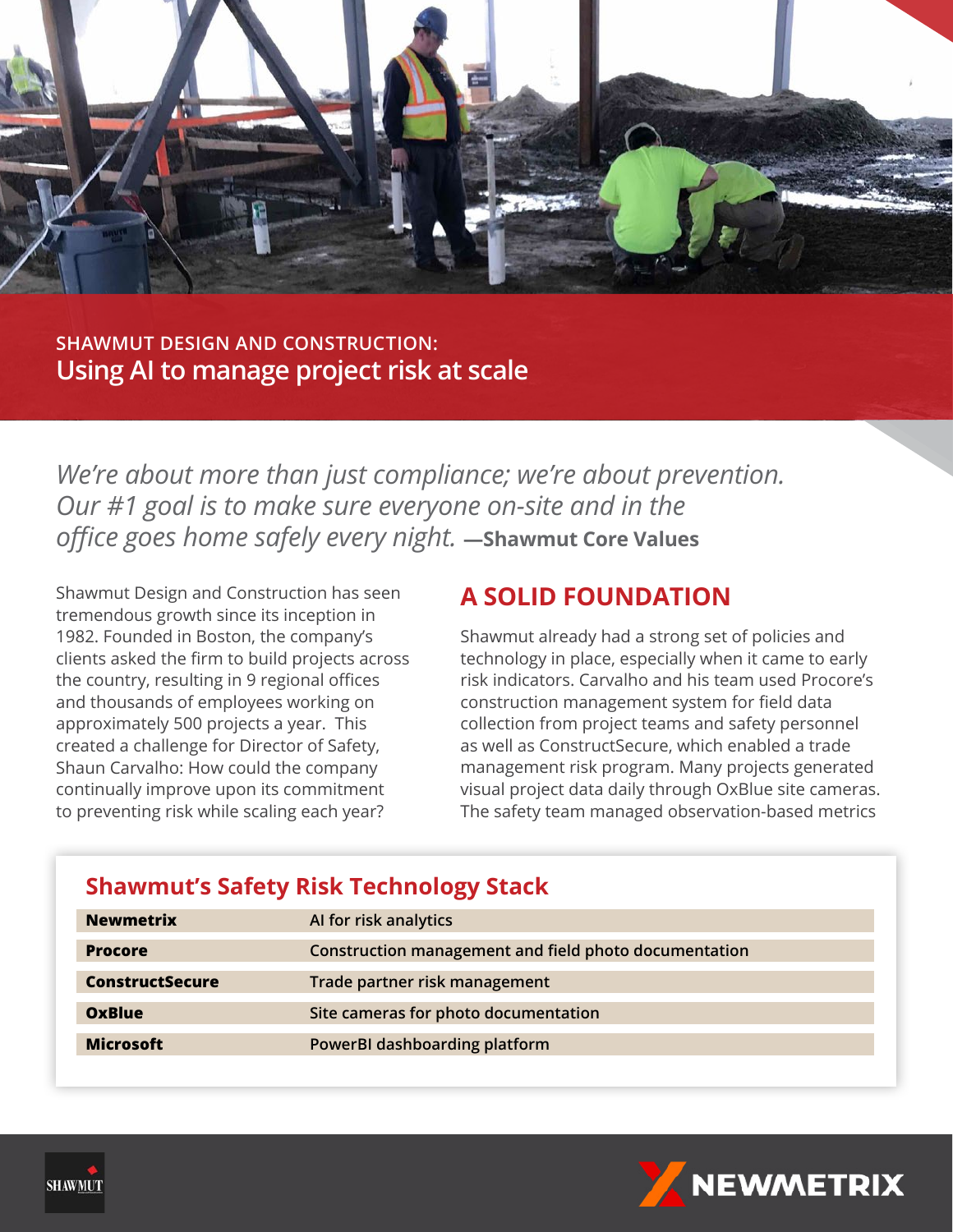

**SHAWMUT DESIGN AND CONSTRUCTION: Using AI to manage project risk at scale**

*We're about more than just compliance; we're about prevention. Our #1 goal is to make sure everyone on-site and in the office goes home safely every night.* **—Shawmut Core Values**

Shawmut Design and Construction has seen tremendous growth since its inception in 1982. Founded in Boston, the company's clients asked the firm to build projects across the country, resulting in 9 regional offices and thousands of employees working on approximately 500 projects a year. This created a challenge for Director of Safety, Shaun Carvalho: How could the company continually improve upon its commitment to preventing risk while scaling each year?

### **A SOLID FOUNDATION**

Shawmut already had a strong set of policies and technology in place, especially when it came to early risk indicators. Carvalho and his team used Procore's construction management system for field data collection from project teams and safety personnel as well as ConstructSecure, which enabled a trade management risk program. Many projects generated visual project data daily through OxBlue site cameras. The safety team managed observation-based metrics

### **Shawmut's Safety Risk Technology Stack**

| <b>Newmetrix</b>       | Al for risk analytics                                 |
|------------------------|-------------------------------------------------------|
| <b>Procore</b>         | Construction management and field photo documentation |
| <b>ConstructSecure</b> | Trade partner risk management                         |
| OxBlue                 | Site cameras for photo documentation                  |
| <b>Microsoft</b>       | PowerBI dashboarding platform                         |



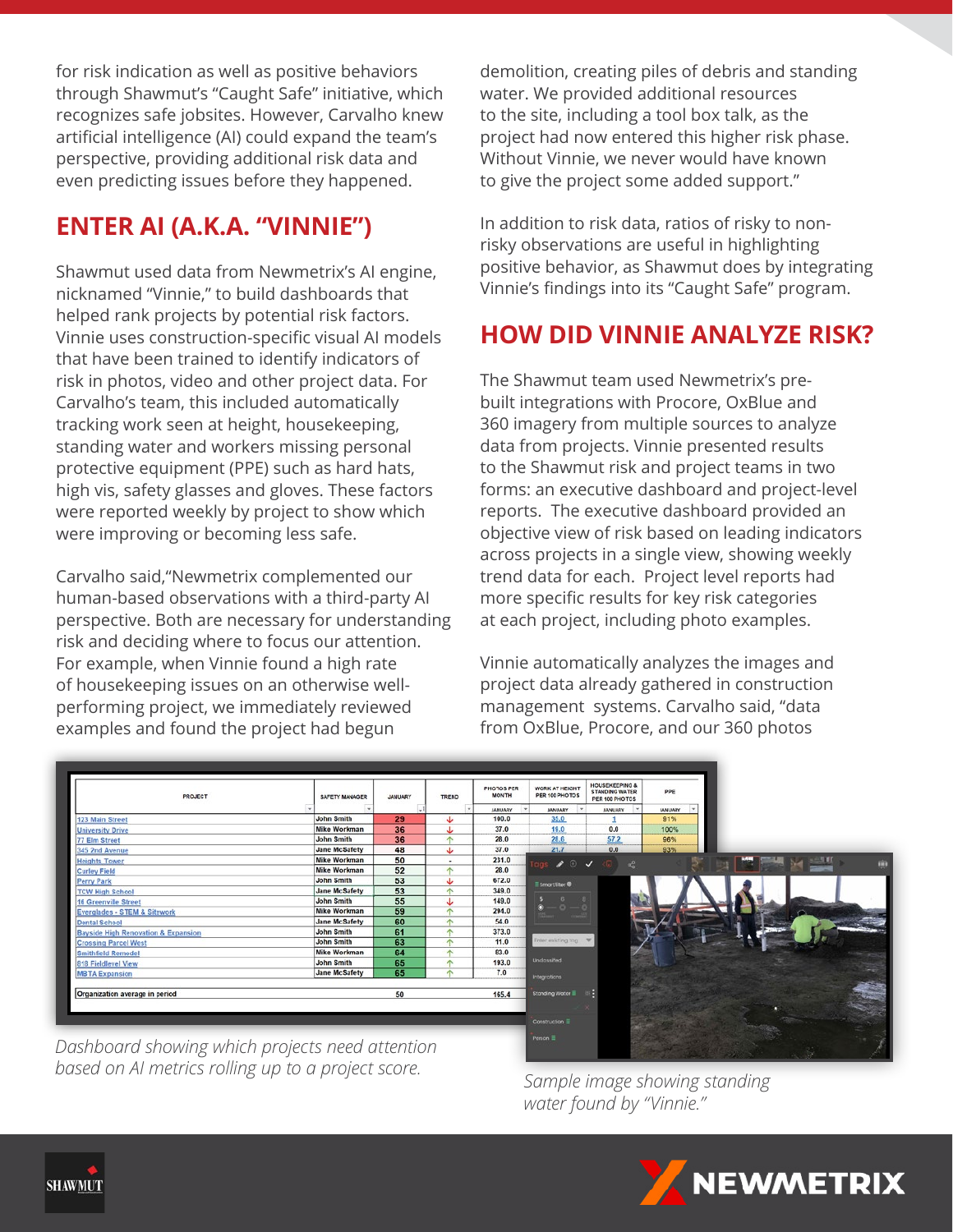for risk indication as well as positive behaviors through Shawmut's "Caught Safe" initiative, which recognizes safe jobsites. However, Carvalho knew artificial intelligence (AI) could expand the team's perspective, providing additional risk data and even predicting issues before they happened.

# **ENTER AI (A.K.A. "VINNIE")**

Shawmut used data from Newmetrix's AI engine, nicknamed "Vinnie," to build dashboards that helped rank projects by potential risk factors. Vinnie uses construction-specific visual AI models that have been trained to identify indicators of risk in photos, video and other project data. For Carvalho's team, this included automatically tracking work seen at height, housekeeping, standing water and workers missing personal protective equipment (PPE) such as hard hats, high vis, safety glasses and gloves. These factors were reported weekly by project to show which were improving or becoming less safe.

Carvalho said,"Newmetrix complemented our human-based observations with a third-party AI perspective. Both are necessary for understanding risk and deciding where to focus our attention. For example, when Vinnie found a high rate of housekeeping issues on an otherwise wellperforming project, we immediately reviewed examples and found the project had begun

demolition, creating piles of debris and standing water. We provided additional resources to the site, including a tool box talk, as the project had now entered this higher risk phase. Without Vinnie, we never would have known to give the project some added support."

In addition to risk data, ratios of risky to nonrisky observations are useful in highlighting positive behavior, as Shawmut does by integrating Vinnie's findings into its "Caught Safe" program.

## **HOW DID VINNIE ANALYZE RISK?**

The Shawmut team used Newmetrix's prebuilt integrations with Procore, OxBlue and 360 imagery from multiple sources to analyze data from projects. Vinnie presented results to the Shawmut risk and project teams in two forms: an executive dashboard and project-level reports. The executive dashboard provided an objective view of risk based on leading indicators across projects in a single view, showing weekly trend data for each. Project level reports had more specific results for key risk categories at each project, including photo examples.

Vinnie automatically analyzes the images and project data already gathered in construction management systems. Carvalho said, "data from OxBlue, Procore, and our 360 photos

| <b>PROJECT</b>                                 | SAFETY MANAGER       | <b>JANUARY</b> | TREND                    | <b>PHOTOS PER</b><br><b>MONTH</b> | WORK AT HEIGHT<br>PER 100 PHOTOS | <b>HOUSEKEEPING &amp;</b><br>STANDING WATER<br>PER 100 PHOTOS | ppg            |
|------------------------------------------------|----------------------|----------------|--------------------------|-----------------------------------|----------------------------------|---------------------------------------------------------------|----------------|
|                                                |                      | $\sim 1$       | $\rightarrow$            | <b>JANUARY</b><br>$\rightarrow$   | $\rightarrow$<br><b>MNUARY</b>   | <b>JANUARY</b>                                                | <b>JANUARY</b> |
| 123 Main Street                                | <b>John Smith</b>    | 29             | J                        | 100.0                             | 35.0                             |                                                               | 91%            |
| <b>University Drive</b>                        | <b>Mike Workman</b>  | 36             |                          | 37.0                              | 19.0                             | 0.0                                                           | 100%           |
| 77 Elm Street                                  | John Smith           | 36             | $\uparrow$               | 28.0                              | 28.6                             | 57.2                                                          | 96%            |
| 345 2nd Avenue                                 | <b>Jane McSafety</b> | 48             | J                        | 37.0                              | 21.7                             | 0.0                                                           | 93%            |
| <b>Heights Tower</b>                           | <b>Mike Workman</b>  | 50             | $\overline{\phantom{a}}$ | 231.0                             | $\rightarrow$ 0 $\rightarrow$    | $\alpha_0^0$                                                  |                |
| <b>Curley Field</b>                            | <b>Mike Workman</b>  | 52             | $\uparrow$               | 28.0                              |                                  |                                                               |                |
| Perry Park                                     | <b>John Smith</b>    | 53             | s                        | 672.0                             | <b>E</b> SmartRiter <sup>®</sup> |                                                               |                |
| <b>TCW High School</b>                         | <b>Jane McSafety</b> | 53             | $\wedge$                 | 349.0                             |                                  |                                                               |                |
| 16 Greenville Street                           | John Smith           | 55             | T                        | 149.0                             |                                  |                                                               |                |
| Everglades - STEM & Sitework                   | Mike Workman         | 59             | $\uparrow$               | 294.0                             | - 0                              |                                                               |                |
| Dental School                                  | Jane McSafety        | 60             | $\triangle$              | 54.0                              |                                  |                                                               |                |
| <b>Bayside High Renovation &amp; Expansion</b> | <b>John Smith</b>    | 61             | 木                        | 373.0                             |                                  |                                                               |                |
| <b>Crossing Parcel West</b>                    | <b>John Smith</b>    | 63             | $\wedge$                 | 11.0                              | Inter existing too               |                                                               |                |
| Smithfield Remodel                             | <b>Mike Workman</b>  | 64             | $\wedge$                 | 83.0                              |                                  |                                                               |                |
| 818 Fieldlevel View                            | <b>John Smith</b>    | 65             | $\Lambda$                | 193.0                             | Unclossified.                    |                                                               |                |
| <b>MBTA Expansion</b>                          | <b>Jane McSafety</b> | 65             | 办                        | 7.0                               | <b>Integrations</b>              |                                                               |                |
|                                                |                      |                |                          |                                   |                                  |                                                               |                |
| Organization average in period                 |                      | 50             |                          | 165.4                             | Stonding Water                   |                                                               |                |
|                                                |                      |                |                          |                                   |                                  |                                                               |                |
|                                                |                      |                |                          |                                   |                                  |                                                               |                |
|                                                |                      |                |                          |                                   | Construction E                   |                                                               |                |

*Dashboard showing which projects need attention based on AI metrics rolling up to a project score. Sample image showing standing* 

*water found by "Vinnie."*